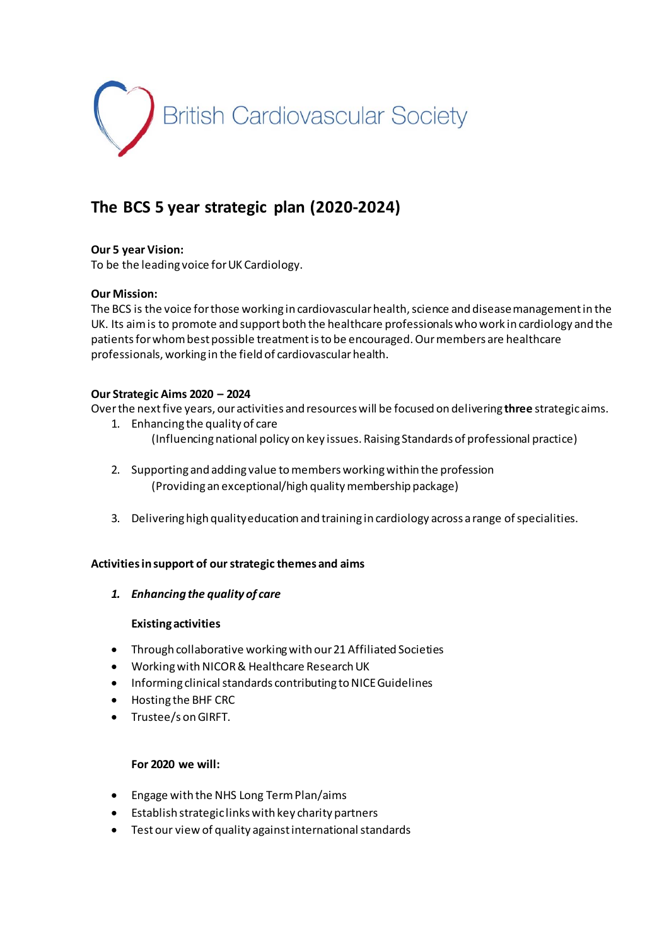

# **The BCS 5 year strategic plan (2020-2024)**

## **Our 5 year Vision:**

To be the leading voice for UK Cardiology.

## **Our Mission:**

The BCS is the voice for those working in cardiovascular health, science and disease management in the UK. Its aim is to promote and support both the healthcare professionals who work in cardiology and the patients for whom best possible treatment is to be encouraged. Our members are healthcare professionals, working in the field of cardiovascular health.

## **Our Strategic Aims 2020 – 2024**

Over the next five years, our activities and resources will be focused on delivering **three** strategic aims.

- 1. Enhancing the quality of care (Influencing national policy on key issues. Raising Standards of professional practice)
- 2. Supporting and adding value to members working within the profession (Providing an exceptional/high quality membership package)
- 3. Delivering high quality education and training in cardiology across a range of specialities.

## **Activities in support of our strategic themes and aims**

*1. Enhancing the quality of care*

## **Existing activities**

- Through collaborative working with our 21 Affiliated Societies
- Working with NICOR & Healthcare Research UK
- Informing clinical standards contributing to NICE Guidelines
- Hosting the BHF CRC
- Trustee/s on GIRFT.

## **For 2020 we will:**

- Engage with the NHS Long Term Plan/aims
- Establish strategic links with key charity partners
- Test our view of quality against international standards